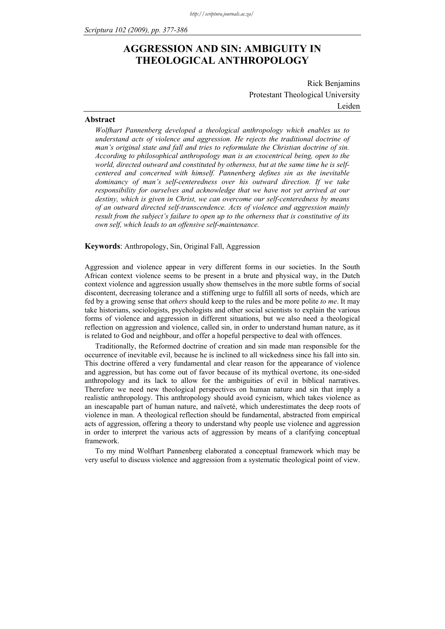## **AGGRESSION AND SIN: AMBIGUITY IN THEOLOGICAL ANTHROPOLOGY**

Rick Benjamins Protestant Theological University Leiden

## **Abstract**

*Wolfhart Pannenberg developed a theological anthropology which enables us to understand acts of violence and aggression. He rejects the traditional doctrine of man's original state and fall and tries to reformulate the Christian doctrine of sin. According to philosophical anthropology man is an exocentrical being, open to the world, directed outward and constituted by otherness, but at the same time he is selfcentered and concerned with himself. Pannenberg defines sin as the inevitable dominancy of man's self-centeredness over his outward direction. If we take responsibility for ourselves and acknowledge that we have not yet arrived at our destiny, which is given in Christ, we can overcome our self-centeredness by means of an outward directed self-transcendence. Acts of violence and aggression mainly result from the subject's failure to open up to the otherness that is constitutive of its own self, which leads to an offensive self-maintenance.*

**Keywords**: Anthropology, Sin, Original Fall, Aggression

Aggression and violence appear in very different forms in our societies. In the South African context violence seems to be present in a brute and physical way, in the Dutch context violence and aggression usually show themselves in the more subtle forms of social discontent, decreasing tolerance and a stiffening urge to fulfill all sorts of needs, which are fed by a growing sense that *others* should keep to the rules and be more polite *to me*. It may take historians, sociologists, psychologists and other social scientists to explain the various forms of violence and aggression in different situations, but we also need a theological reflection on aggression and violence, called sin, in order to understand human nature, as it is related to God and neighbour, and offer a hopeful perspective to deal with offences.

Traditionally, the Reformed doctrine of creation and sin made man responsible for the occurrence of inevitable evil, because he is inclined to all wickedness since his fall into sin. This doctrine offered a very fundamental and clear reason for the appearance of violence and aggression, but has come out of favor because of its mythical overtone, its one-sided anthropology and its lack to allow for the ambiguities of evil in biblical narratives. Therefore we need new theological perspectives on human nature and sin that imply a realistic anthropology. This anthropology should avoid cynicism, which takes violence as an inescapable part of human nature, and naïveté, which underestimates the deep roots of violence in man. A theological reflection should be fundamental, abstracted from empirical acts of aggression, offering a theory to understand why people use violence and aggression in order to interpret the various acts of aggression by means of a clarifying conceptual framework.

To my mind Wolfhart Pannenberg elaborated a conceptual framework which may be very useful to discuss violence and aggression from a systematic theological point of view.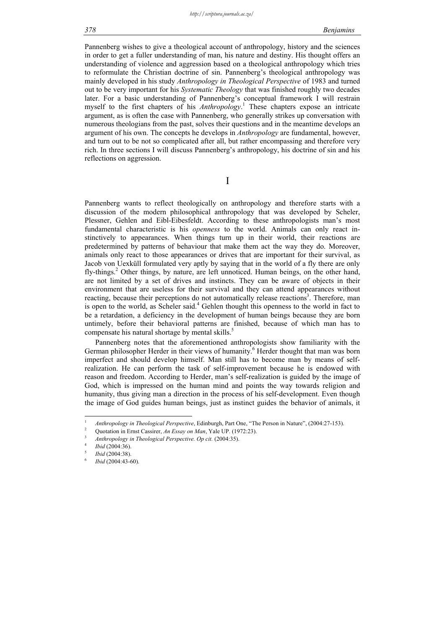Pannenberg wishes to give a theological account of anthropology, history and the sciences in order to get a fuller understanding of man, his nature and destiny. His thought offers an understanding of violence and aggression based on a theological anthropology which tries to reformulate the Christian doctrine of sin. Pannenberg's theological anthropology was mainly developed in his study *Anthropology in Theological Perspective* of 1983 and turned out to be very important for his *Systematic Theology* that was finished roughly two decades later. For a basic understanding of Pannenberg's conceptual framework I will restrain myself to the first chapters of his *Anthropology*. 1 These chapters expose an intricate argument, as is often the case with Pannenberg, who generally strikes up conversation with numerous theologians from the past, solves their questions and in the meantime develops an argument of his own. The concepts he develops in *Anthropology* are fundamental, however, and turn out to be not so complicated after all, but rather encompassing and therefore very rich. In three sections I will discuss Pannenberg's anthropology, his doctrine of sin and his reflections on aggression.

I

Pannenberg wants to reflect theologically on anthropology and therefore starts with a discussion of the modern philosophical anthropology that was developed by Scheler, Plessner, Gehlen and Eibl-Eibesfeldt. According to these anthropologists man's most fundamental characteristic is his *openness* to the world. Animals can only react instinctively to appearances. When things turn up in their world, their reactions are predetermined by patterns of behaviour that make them act the way they do. Moreover, animals only react to those appearances or drives that are important for their survival, as Jacob von Uexküll formulated very aptly by saying that in the world of a fly there are only fly-things.<sup>2</sup> Other things, by nature, are left unnoticed. Human beings, on the other hand, are not limited by a set of drives and instincts. They can be aware of objects in their environment that are useless for their survival and they can attend appearances without reacting, because their perceptions do not automatically release reactions<sup>3</sup>. Therefore, man is open to the world, as Scheler said.<sup>4</sup> Gehlen thought this openness to the world in fact to be a retardation, a deficiency in the development of human beings because they are born untimely, before their behavioral patterns are finished, because of which man has to compensate his natural shortage by mental skills.<sup>5</sup>

Pannenberg notes that the aforementioned anthropologists show familiarity with the German philosopher Herder in their views of humanity.<sup>6</sup> Herder thought that man was born imperfect and should develop himself. Man still has to become man by means of selfrealization. He can perform the task of self-improvement because he is endowed with reason and freedom. According to Herder, man's self-realization is guided by the image of God, which is impressed on the human mind and points the way towards religion and humanity, thus giving man a direction in the process of his self-development. Even though the image of God guides human beings, just as instinct guides the behavior of animals, it

1

<sup>1</sup> <sup>1</sup> *Anthropology in Theological Perspective*, Edinburgh, Part One, "The Person in Nature", (2004:27-153).

Quotation in Ernst Cassirer, *An Essay on Man*, Yale UP. (1972:23).

*Anthropology in Theological Perspective. Op cit.* (2004:35). 4

*Ibid* (2004:36).

*Ibid* (2004:38).

*Ibid* (2004:43-60).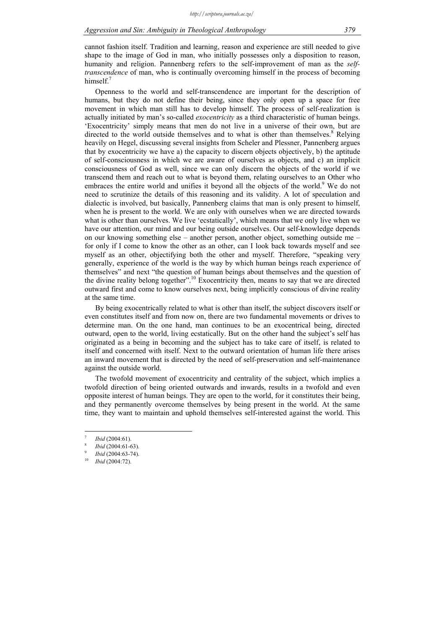cannot fashion itself. Tradition and learning, reason and experience are still needed to give shape to the image of God in man, who initially possesses only a disposition to reason, humanity and religion. Pannenberg refers to the self-improvement of man as the *selftranscendence* of man, who is continually overcoming himself in the process of becoming himself $<sup>7</sup>$ </sup>

Openness to the world and self-transcendence are important for the description of humans, but they do not define their being, since they only open up a space for free movement in which man still has to develop himself. The process of self-realization is actually initiated by man's so-called *exocentricity* as a third characteristic of human beings. 'Exocentricity' simply means that men do not live in a universe of their own, but are directed to the world outside themselves and to what is other than themselves.<sup>8</sup> Relying heavily on Hegel, discussing several insights from Scheler and Plessner, Pannenberg argues that by exocentricity we have a) the capacity to discern objects objectively, b) the aptitude of self-consciousness in which we are aware of ourselves as objects, and c) an implicit consciousness of God as well, since we can only discern the objects of the world if we transcend them and reach out to what is beyond them, relating ourselves to an Other who embraces the entire world and unifies it beyond all the objects of the world.<sup>9</sup> We do not need to scrutinize the details of this reasoning and its validity. A lot of speculation and dialectic is involved, but basically, Pannenberg claims that man is only present to himself, when he is present to the world. We are only with ourselves when we are directed towards what is other than ourselves. We live 'ecstatically', which means that we only live when we have our attention, our mind and our being outside ourselves. Our self-knowledge depends on our knowing something else – another person, another object, something outside me – for only if I come to know the other as an other, can I look back towards myself and see myself as an other, objectifying both the other and myself. Therefore, "speaking very generally, experience of the world is the way by which human beings reach experience of themselves" and next "the question of human beings about themselves and the question of the divine reality belong together".10 Exocentricity then, means to say that we are directed outward first and come to know ourselves next, being implicitly conscious of divine reality at the same time.

By being exocentrically related to what is other than itself, the subject discovers itself or even constitutes itself and from now on, there are two fundamental movements or drives to determine man. On the one hand, man continues to be an exocentrical being, directed outward, open to the world, living ecstatically. But on the other hand the subject's self has originated as a being in becoming and the subject has to take care of itself, is related to itself and concerned with itself. Next to the outward orientation of human life there arises an inward movement that is directed by the need of self-preservation and self-maintenance against the outside world.

The twofold movement of exocentricity and centrality of the subject, which implies a twofold direction of being oriented outwards and inwards, results in a twofold and even opposite interest of human beings. They are open to the world, for it constitutes their being, and they permanently overcome themselves by being present in the world. At the same time, they want to maintain and uphold themselves self-interested against the world. This

1

<sup>7</sup> *Ibid* (2004:61).

*Ibid* (2004:61-63).

*Ibid* (2004:63-74). 10 *Ibid* (2004:72).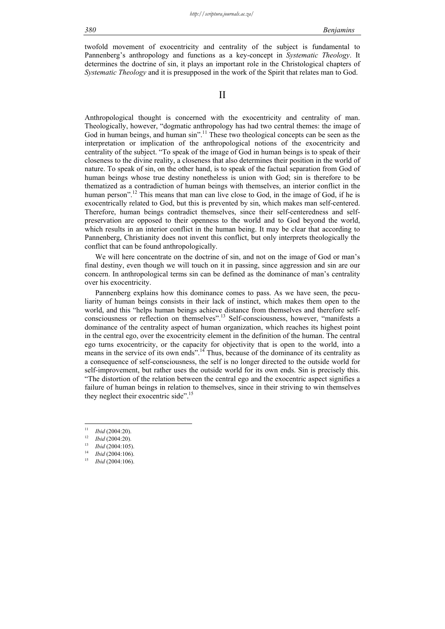twofold movement of exocentricity and centrality of the subject is fundamental to Pannenberg's anthropology and functions as a key-concept in *Systematic Theology*. It determines the doctrine of sin, it plays an important role in the Christological chapters of *Systematic Theology* and it is presupposed in the work of the Spirit that relates man to God.

II

Anthropological thought is concerned with the exocentricity and centrality of man. Theologically, however, "dogmatic anthropology has had two central themes: the image of God in human beings, and human sin".<sup>11</sup> These two theological concepts can be seen as the interpretation or implication of the anthropological notions of the exocentricity and centrality of the subject. "To speak of the image of God in human beings is to speak of their closeness to the divine reality, a closeness that also determines their position in the world of nature. To speak of sin, on the other hand, is to speak of the factual separation from God of human beings whose true destiny nonetheless is union with God; sin is therefore to be thematized as a contradiction of human beings with themselves, an interior conflict in the human person".<sup>12</sup> This means that man can live close to God, in the image of God, if he is exocentrically related to God, but this is prevented by sin, which makes man self-centered. Therefore, human beings contradict themselves, since their self-centeredness and selfpreservation are opposed to their openness to the world and to God beyond the world, which results in an interior conflict in the human being. It may be clear that according to Pannenberg, Christianity does not invent this conflict, but only interprets theologically the conflict that can be found anthropologically.

We will here concentrate on the doctrine of sin, and not on the image of God or man's final destiny, even though we will touch on it in passing, since aggression and sin are our concern. In anthropological terms sin can be defined as the dominance of man's centrality over his exocentricity.

Pannenberg explains how this dominance comes to pass. As we have seen, the peculiarity of human beings consists in their lack of instinct, which makes them open to the world, and this "helps human beings achieve distance from themselves and therefore selfconsciousness or reflection on themselves".13 Self-consciousness, however, "manifests a dominance of the centrality aspect of human organization, which reaches its highest point in the central ego, over the exocentricity element in the definition of the human. The central ego turns exocentricity, or the capacity for objectivity that is open to the world, into a means in the service of its own ends".<sup>14</sup> Thus, because of the dominance of its centrality as a consequence of self-consciousness, the self is no longer directed to the outside world for self-improvement, but rather uses the outside world for its own ends. Sin is precisely this. "The distortion of the relation between the central ego and the exocentric aspect signifies a failure of human beings in relation to themselves, since in their striving to win themselves they neglect their exocentric side".<sup>15</sup>

 $\overline{11}$ 

<sup>11</sup>*Ibid* (2004:20). 12 *Ibid* (2004:20). 13 *Ibid* (2004:105). 14 *Ibid* (2004:106). 15 *Ibid* (2004:106).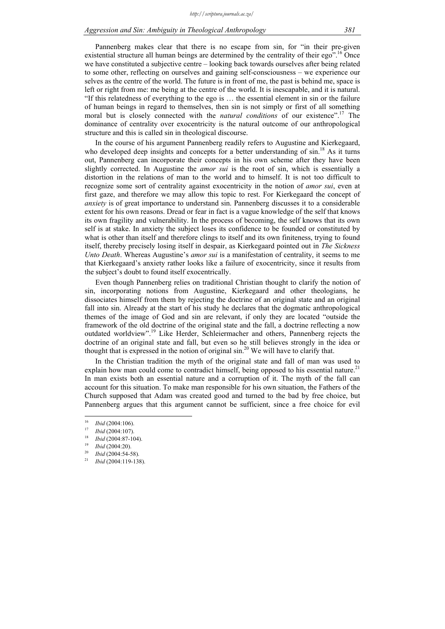## *Aggression and Sin: Ambiguity in Theological Anthropology 381*

Pannenberg makes clear that there is no escape from sin, for "in their pre-given existential structure all human beings are determined by the centrality of their ego".<sup>16</sup> Once we have constituted a subjective centre – looking back towards ourselves after being related to some other, reflecting on ourselves and gaining self-consciousness – we experience our selves as the centre of the world. The future is in front of me, the past is behind me, space is left or right from me: me being at the centre of the world. It is inescapable, and it is natural. "If this relatedness of everything to the ego is … the essential element in sin or the failure of human beings in regard to themselves, then sin is not simply or first of all something moral but is closely connected with the *natural conditions* of our existence".17 The dominance of centrality over exocentricity is the natural outcome of our anthropological structure and this is called sin in theological discourse.

In the course of his argument Pannenberg readily refers to Augustine and Kierkegaard, who developed deep insights and concepts for a better understanding of  $\sin^{18}$  As it turns out, Pannenberg can incorporate their concepts in his own scheme after they have been slightly corrected. In Augustine the *amor sui* is the root of sin, which is essentially a distortion in the relations of man to the world and to himself. It is not too difficult to recognize some sort of centrality against exocentricity in the notion of *amor sui*, even at first gaze, and therefore we may allow this topic to rest. For Kierkegaard the concept of *anxiety* is of great importance to understand sin. Pannenberg discusses it to a considerable extent for his own reasons. Dread or fear in fact is a vague knowledge of the self that knows its own fragility and vulnerability. In the process of becoming, the self knows that its own self is at stake. In anxiety the subject loses its confidence to be founded or constituted by what is other than itself and therefore clings to itself and its own finiteness, trying to found itself, thereby precisely losing itself in despair, as Kierkegaard pointed out in *The Sickness Unto Death*. Whereas Augustine's *amor sui* is a manifestation of centrality, it seems to me that Kierkegaard's anxiety rather looks like a failure of exocentricity, since it results from the subject's doubt to found itself exocentrically.

Even though Pannenberg relies on traditional Christian thought to clarify the notion of sin, incorporating notions from Augustine, Kierkegaard and other theologians, he dissociates himself from them by rejecting the doctrine of an original state and an original fall into sin. Already at the start of his study he declares that the dogmatic anthropological themes of the image of God and sin are relevant, if only they are located "outside the framework of the old doctrine of the original state and the fall, a doctrine reflecting a now outdated worldview".19 Like Herder, Schleiermacher and others, Pannenberg rejects the doctrine of an original state and fall, but even so he still believes strongly in the idea or thought that is expressed in the notion of original  $\sin^{20}$  We will have to clarify that.

In the Christian tradition the myth of the original state and fall of man was used to explain how man could come to contradict himself, being opposed to his essential nature.<sup>21</sup> In man exists both an essential nature and a corruption of it. The myth of the fall can account for this situation. To make man responsible for his own situation, the Fathers of the Church supposed that Adam was created good and turned to the bad by free choice, but Pannenberg argues that this argument cannot be sufficient, since a free choice for evil

 $16$ 

<sup>16</sup>*Ibid* (2004:106). 17 *Ibid* (2004:107). 18 *Ibid* (2004:87-104). 19 *Ibid* (2004:20). 20 *Ibid* (2004:54-58). 21 *Ibid* (2004:119-138).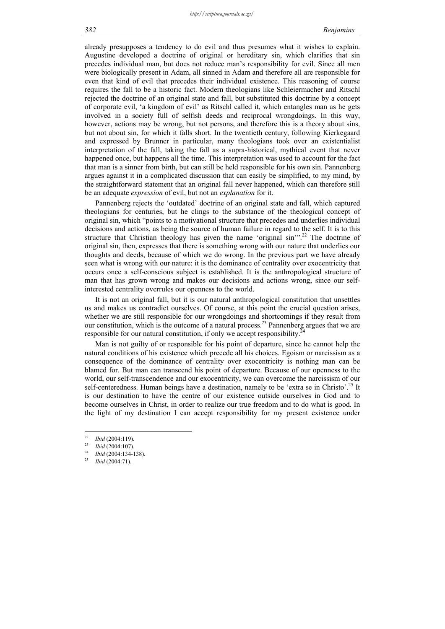already presupposes a tendency to do evil and thus presumes what it wishes to explain. Augustine developed a doctrine of original or hereditary sin, which clarifies that sin precedes individual man, but does not reduce man's responsibility for evil. Since all men were biologically present in Adam, all sinned in Adam and therefore all are responsible for even that kind of evil that precedes their individual existence. This reasoning of course requires the fall to be a historic fact. Modern theologians like Schleiermacher and Ritschl rejected the doctrine of an original state and fall, but substituted this doctrine by a concept of corporate evil, 'a kingdom of evil' as Ritschl called it, which entangles man as he gets involved in a society full of selfish deeds and reciprocal wrongdoings. In this way, however, actions may be wrong, but not persons, and therefore this is a theory about sins, but not about sin, for which it falls short. In the twentieth century, following Kierkegaard and expressed by Brunner in particular, many theologians took over an existentialist interpretation of the fall, taking the fall as a supra-historical, mythical event that never happened once, but happens all the time. This interpretation was used to account for the fact that man is a sinner from birth, but can still be held responsible for his own sin. Pannenberg argues against it in a complicated discussion that can easily be simplified, to my mind, by the straightforward statement that an original fall never happened, which can therefore still be an adequate *expression* of evil, but not an *explanation* for it.

Pannenberg rejects the 'outdated' doctrine of an original state and fall, which captured theologians for centuries, but he clings to the substance of the theological concept of original sin, which "points to a motivational structure that precedes and underlies individual decisions and actions, as being the source of human failure in regard to the self. It is to this structure that Christian theology has given the name 'original sin'".<sup>22</sup> The doctrine of original sin, then, expresses that there is something wrong with our nature that underlies our thoughts and deeds, because of which we do wrong. In the previous part we have already seen what is wrong with our nature: it is the dominance of centrality over exocentricity that occurs once a self-conscious subject is established. It is the anthropological structure of man that has grown wrong and makes our decisions and actions wrong, since our selfinterested centrality overrules our openness to the world.

It is not an original fall, but it is our natural anthropological constitution that unsettles us and makes us contradict ourselves. Of course, at this point the crucial question arises, whether we are still responsible for our wrongdoings and shortcomings if they result from our constitution, which is the outcome of a natural process.<sup>23</sup> Pannenberg argues that we are responsible for our natural constitution, if only we accept responsibility.

Man is not guilty of or responsible for his point of departure, since he cannot help the natural conditions of his existence which precede all his choices. Egoism or narcissism as a consequence of the dominance of centrality over exocentricity is nothing man can be blamed for. But man can transcend his point of departure. Because of our openness to the world, our self-transcendence and our exocentricity, we can overcome the narcissism of our self-centeredness. Human beings have a destination, namely to be 'extra se in Christo'.<sup>25</sup> It is our destination to have the centre of our existence outside ourselves in God and to become ourselves in Christ, in order to realize our true freedom and to do what is good. In the light of my destination I can accept responsibility for my present existence under

 $22$ 

<sup>22</sup>*Ibid* (2004:119). 23 *Ibid* (2004:107). 24 *Ibid* (2004:134-138). 25 *Ibid* (2004:71).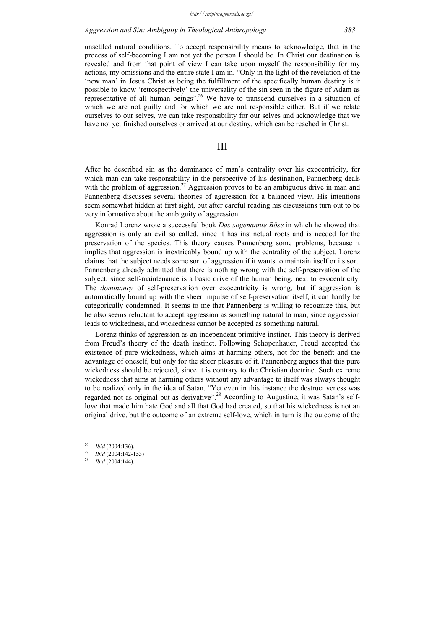unsettled natural conditions. To accept responsibility means to acknowledge, that in the process of self-becoming I am not yet the person I should be. In Christ our destination is revealed and from that point of view I can take upon myself the responsibility for my actions, my omissions and the entire state I am in. "Only in the light of the revelation of the 'new man' in Jesus Christ as being the fulfillment of the specifically human destiny is it possible to know 'retrospectively' the universality of the sin seen in the figure of Adam as representative of all human beings".26 We have to transcend ourselves in a situation of which we are not guilty and for which we are not responsible either. But if we relate ourselves to our selves, we can take responsibility for our selves and acknowledge that we have not yet finished ourselves or arrived at our destiny, which can be reached in Christ.

III

After he described sin as the dominance of man's centrality over his exocentricity, for which man can take responsibility in the perspective of his destination, Pannenberg deals with the problem of aggression.<sup>27</sup> Aggression proves to be an ambiguous drive in man and Pannenberg discusses several theories of aggression for a balanced view. His intentions seem somewhat hidden at first sight, but after careful reading his discussions turn out to be very informative about the ambiguity of aggression.

Konrad Lorenz wrote a successful book *Das sogenannte Böse* in which he showed that aggression is only an evil so called, since it has instinctual roots and is needed for the preservation of the species. This theory causes Pannenberg some problems, because it implies that aggression is inextricably bound up with the centrality of the subject. Lorenz claims that the subject needs some sort of aggression if it wants to maintain itself or its sort. Pannenberg already admitted that there is nothing wrong with the self-preservation of the subject, since self-maintenance is a basic drive of the human being, next to exocentricity. The *dominancy* of self-preservation over exocentricity is wrong, but if aggression is automatically bound up with the sheer impulse of self-preservation itself, it can hardly be categorically condemned. It seems to me that Pannenberg is willing to recognize this, but he also seems reluctant to accept aggression as something natural to man, since aggression leads to wickedness, and wickedness cannot be accepted as something natural.

Lorenz thinks of aggression as an independent primitive instinct. This theory is derived from Freud's theory of the death instinct. Following Schopenhauer, Freud accepted the existence of pure wickedness, which aims at harming others, not for the benefit and the advantage of oneself, but only for the sheer pleasure of it. Pannenberg argues that this pure wickedness should be rejected, since it is contrary to the Christian doctrine. Such extreme wickedness that aims at harming others without any advantage to itself was always thought to be realized only in the idea of Satan. "Yet even in this instance the destructiveness was regarded not as original but as derivative".<sup>28</sup> According to Augustine, it was Satan's selflove that made him hate God and all that God had created, so that his wickedness is not an original drive, but the outcome of an extreme self-love, which in turn is the outcome of the

 $\overline{26}$ 

<sup>26</sup>*Ibid* (2004:136). 27 *Ibid* (2004:142-153) 28 *Ibid* (2004:144).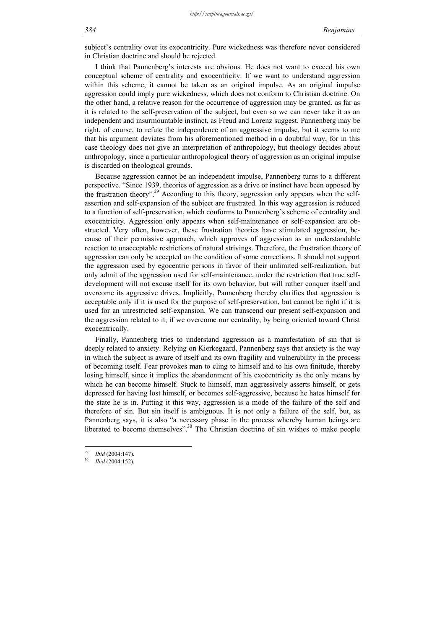subject's centrality over its exocentricity. Pure wickedness was therefore never considered in Christian doctrine and should be rejected.

I think that Pannenberg's interests are obvious. He does not want to exceed his own conceptual scheme of centrality and exocentricity. If we want to understand aggression within this scheme, it cannot be taken as an original impulse. As an original impulse aggression could imply pure wickedness, which does not conform to Christian doctrine. On the other hand, a relative reason for the occurrence of aggression may be granted, as far as it is related to the self-preservation of the subject, but even so we can never take it as an independent and insurmountable instinct, as Freud and Lorenz suggest. Pannenberg may be right, of course, to refute the independence of an aggressive impulse, but it seems to me that his argument deviates from his aforementioned method in a doubtful way, for in this case theology does not give an interpretation of anthropology, but theology decides about anthropology, since a particular anthropological theory of aggression as an original impulse is discarded on theological grounds.

Because aggression cannot be an independent impulse, Pannenberg turns to a different perspective. "Since 1939, theories of aggression as a drive or instinct have been opposed by the frustration theory".29 According to this theory, aggression only appears when the selfassertion and self-expansion of the subject are frustrated. In this way aggression is reduced to a function of self-preservation, which conforms to Pannenberg's scheme of centrality and exocentricity. Aggression only appears when self-maintenance or self-expansion are obstructed. Very often, however, these frustration theories have stimulated aggression, because of their permissive approach, which approves of aggression as an understandable reaction to unacceptable restrictions of natural strivings. Therefore, the frustration theory of aggression can only be accepted on the condition of some corrections. It should not support the aggression used by egocentric persons in favor of their unlimited self-realization, but only admit of the aggression used for self-maintenance, under the restriction that true selfdevelopment will not excuse itself for its own behavior, but will rather conquer itself and overcome its aggressive drives. Implicitly, Pannenberg thereby clarifies that aggression is acceptable only if it is used for the purpose of self-preservation, but cannot be right if it is used for an unrestricted self-expansion. We can transcend our present self-expansion and the aggression related to it, if we overcome our centrality, by being oriented toward Christ exocentrically.

Finally, Pannenberg tries to understand aggression as a manifestation of sin that is deeply related to anxiety. Relying on Kierkegaard, Pannenberg says that anxiety is the way in which the subject is aware of itself and its own fragility and vulnerability in the process of becoming itself. Fear provokes man to cling to himself and to his own finitude, thereby losing himself, since it implies the abandonment of his exocentricity as the only means by which he can become himself. Stuck to himself, man aggressively asserts himself, or gets depressed for having lost himself, or becomes self-aggressive, because he hates himself for the state he is in. Putting it this way, aggression is a mode of the failure of the self and therefore of sin. But sin itself is ambiguous. It is not only a failure of the self, but, as Pannenberg says, it is also "a necessary phase in the process whereby human beings are liberated to become themselves".<sup>30</sup> The Christian doctrine of sin wishes to make people

<u>.</u>

<sup>29</sup>*Ibid* (2004:147). 30 *Ibid* (2004:152).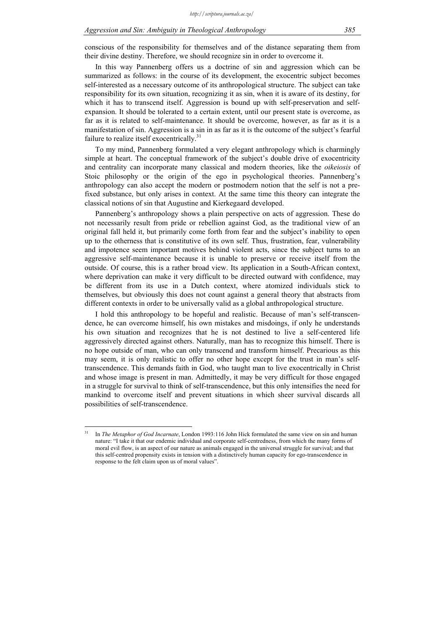conscious of the responsibility for themselves and of the distance separating them from their divine destiny. Therefore, we should recognize sin in order to overcome it.

In this way Pannenberg offers us a doctrine of sin and aggression which can be summarized as follows: in the course of its development, the exocentric subject becomes self-interested as a necessary outcome of its anthropological structure. The subject can take responsibility for its own situation, recognizing it as sin, when it is aware of its destiny, for which it has to transcend itself. Aggression is bound up with self-preservation and selfexpansion. It should be tolerated to a certain extent, until our present state is overcome, as far as it is related to self-maintenance. It should be overcome, however, as far as it is a manifestation of sin. Aggression is a sin in as far as it is the outcome of the subject's fearful failure to realize itself exocentrically.<sup>31</sup>

To my mind, Pannenberg formulated a very elegant anthropology which is charmingly simple at heart. The conceptual framework of the subject's double drive of exocentricity and centrality can incorporate many classical and modern theories, like the *oikeiosis* of Stoic philosophy or the origin of the ego in psychological theories. Pannenberg's anthropology can also accept the modern or postmodern notion that the self is not a prefixed substance, but only arises in context. At the same time this theory can integrate the classical notions of sin that Augustine and Kierkegaard developed.

Pannenberg's anthropology shows a plain perspective on acts of aggression. These do not necessarily result from pride or rebellion against God, as the traditional view of an original fall held it, but primarily come forth from fear and the subject's inability to open up to the otherness that is constitutive of its own self. Thus, frustration, fear, vulnerability and impotence seem important motives behind violent acts, since the subject turns to an aggressive self-maintenance because it is unable to preserve or receive itself from the outside. Of course, this is a rather broad view. Its application in a South-African context, where deprivation can make it very difficult to be directed outward with confidence, may be different from its use in a Dutch context, where atomized individuals stick to themselves, but obviously this does not count against a general theory that abstracts from different contexts in order to be universally valid as a global anthropological structure.

I hold this anthropology to be hopeful and realistic. Because of man's self-transcendence, he can overcome himself, his own mistakes and misdoings, if only he understands his own situation and recognizes that he is not destined to live a self-centered life aggressively directed against others. Naturally, man has to recognize this himself. There is no hope outside of man, who can only transcend and transform himself. Precarious as this may seem, it is only realistic to offer no other hope except for the trust in man's selftranscendence. This demands faith in God, who taught man to live exocentrically in Christ and whose image is present in man. Admittedly, it may be very difficult for those engaged in a struggle for survival to think of self-transcendence, but this only intensifies the need for mankind to overcome itself and prevent situations in which sheer survival discards all possibilities of self-transcendence.

 $31$ 31 In *The Metaphor of God Incarnate*, London 1993:116 John Hick formulated the same view on sin and human nature: "I take it that our endemic individual and corporate self-centredness, from which the many forms of moral evil flow, is an aspect of our nature as animals engaged in the universal struggle for survival; and that this self-centred propensity exists in tension with a distinctively human capacity for ego-transcendence in response to the felt claim upon us of moral values".